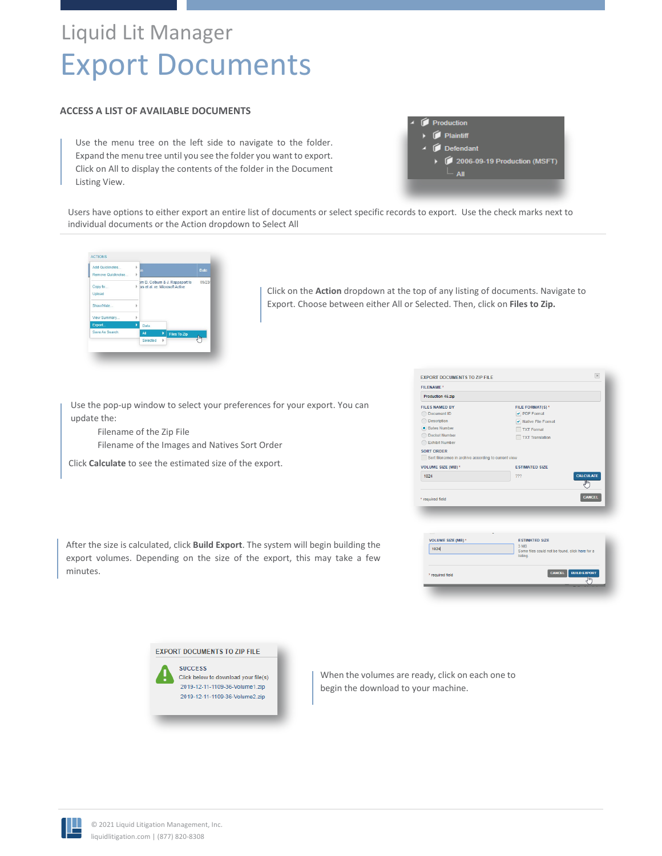# Liquid Lit Manager Export Documents

## **ACCESS A LIST OF AVAILABLE DOCUMENTS**

Use the menu tree on the left side to navigate to the folder. Expand the menu tree until you see the folder you want to export. Click on All to display the contents of the folder in the Document Listing View.

|  | Production                            |
|--|---------------------------------------|
|  | $\triangleright$ $\bigcirc$ Plaintiff |
|  | $\triangle$ $\blacksquare$ Defendant  |
|  | ▶ 2006-09-19 Production (MSFT)        |
|  | <b>E.</b> All                         |
|  |                                       |

Users have options to either export an entire list of documents or select specific records to export. Use the check marks next to individual documents or the Action dropdown to Select All



Click on the **Action** dropdown at the top of any listing of documents. Navigate to Export. Choose between either All or Selected. Then, click on **Files to Zip.**

EXPORT DOCUMENTS TO ZIP FILE

Use the pop-up window to select your preferences for your export. You can update the:

Filename of the Zip File Filename of the Images and Natives Sort Order

Click **Calculate** to see the estimated size of the export.

| <b>FILES NAMED BY</b><br>FILE FORMAT(S)*<br>Document ID<br>PDF Format<br>Description<br>✔ Native File Format<br>• Bates Number<br><b>TXT Format</b><br><b>Docket Number</b><br><b>TXT Translation</b><br><b>Exhibit Number</b><br>SORT ORDER<br>Sort filenames in archive according to current view<br>VOLUME SIZE (MB) *<br><b>ESTIMATED SIZE</b><br>CALCULATE<br>1024<br>???<br>Jhŋ<br><b>CANCEL</b><br>* required field<br><b>VOLUME SIZE (MB) *</b><br><b>ESTIMATED SIZE</b><br>3 MB<br>1024<br>Some files could not be found, click here for a | Production 46.zip |  |
|-----------------------------------------------------------------------------------------------------------------------------------------------------------------------------------------------------------------------------------------------------------------------------------------------------------------------------------------------------------------------------------------------------------------------------------------------------------------------------------------------------------------------------------------------------|-------------------|--|
|                                                                                                                                                                                                                                                                                                                                                                                                                                                                                                                                                     |                   |  |
|                                                                                                                                                                                                                                                                                                                                                                                                                                                                                                                                                     |                   |  |
|                                                                                                                                                                                                                                                                                                                                                                                                                                                                                                                                                     |                   |  |
|                                                                                                                                                                                                                                                                                                                                                                                                                                                                                                                                                     |                   |  |
|                                                                                                                                                                                                                                                                                                                                                                                                                                                                                                                                                     |                   |  |
|                                                                                                                                                                                                                                                                                                                                                                                                                                                                                                                                                     |                   |  |
|                                                                                                                                                                                                                                                                                                                                                                                                                                                                                                                                                     |                   |  |
|                                                                                                                                                                                                                                                                                                                                                                                                                                                                                                                                                     |                   |  |
|                                                                                                                                                                                                                                                                                                                                                                                                                                                                                                                                                     |                   |  |
|                                                                                                                                                                                                                                                                                                                                                                                                                                                                                                                                                     |                   |  |
|                                                                                                                                                                                                                                                                                                                                                                                                                                                                                                                                                     |                   |  |
|                                                                                                                                                                                                                                                                                                                                                                                                                                                                                                                                                     |                   |  |
|                                                                                                                                                                                                                                                                                                                                                                                                                                                                                                                                                     |                   |  |
|                                                                                                                                                                                                                                                                                                                                                                                                                                                                                                                                                     |                   |  |
|                                                                                                                                                                                                                                                                                                                                                                                                                                                                                                                                                     |                   |  |
|                                                                                                                                                                                                                                                                                                                                                                                                                                                                                                                                                     |                   |  |
|                                                                                                                                                                                                                                                                                                                                                                                                                                                                                                                                                     |                   |  |
|                                                                                                                                                                                                                                                                                                                                                                                                                                                                                                                                                     |                   |  |
|                                                                                                                                                                                                                                                                                                                                                                                                                                                                                                                                                     |                   |  |
|                                                                                                                                                                                                                                                                                                                                                                                                                                                                                                                                                     |                   |  |
|                                                                                                                                                                                                                                                                                                                                                                                                                                                                                                                                                     |                   |  |

After the size is calculated, click **Build Export**. The system will begin building the export volumes. Depending on the size of the export, this may take a few minutes.



When the volumes are ready, click on each one to begin the download to your machine.

required fiek